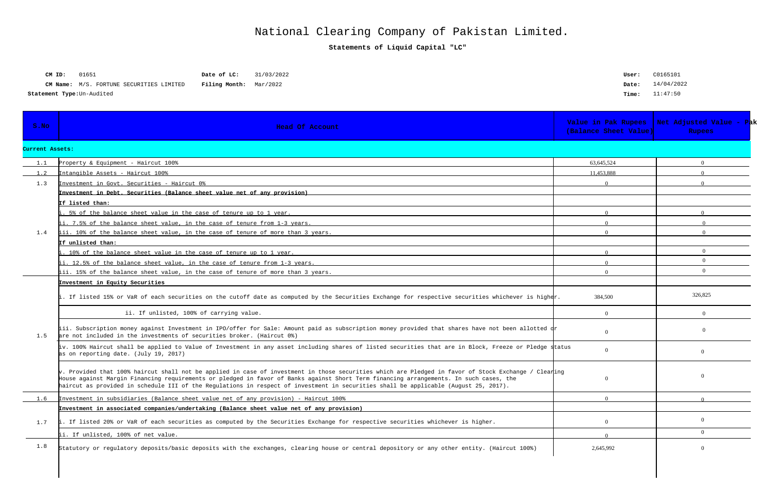|  | Statement Type: Un-Audited |
|--|----------------------------|
|--|----------------------------|

| CM ID:                                     | 01651                                           | Date of LC:                   | 31/03/2022 |
|--------------------------------------------|-------------------------------------------------|-------------------------------|------------|
|                                            | <b>CM Name:</b> M/S. FORTUNE SECURITIES LIMITED | <b>Filing Month:</b> Mar/2022 |            |
| $+$ omon $+$ Timesiln $\lambda$ udi $+$ od |                                                 |                               |            |

| User: | C0165101   |
|-------|------------|
| Date: | 14/04/2022 |
| Time: | 11:47:50   |

**Statements of Liquid Capital "LC"**

## National Clearing Company of Pakistan Limited.

| S.NO            | <b>Head Of Account</b>                                                                                                                                                                                                                                                                                                                                                                                                                         | Value in Pak Rupees<br>(Balance Sheet Value) | Net Adjusted Value - Pak<br><b>Rupees</b> |
|-----------------|------------------------------------------------------------------------------------------------------------------------------------------------------------------------------------------------------------------------------------------------------------------------------------------------------------------------------------------------------------------------------------------------------------------------------------------------|----------------------------------------------|-------------------------------------------|
| Current Assets: |                                                                                                                                                                                                                                                                                                                                                                                                                                                |                                              |                                           |
| 1.1             | Property & Equipment - Haircut 100%                                                                                                                                                                                                                                                                                                                                                                                                            | 63.645.524                                   | $\Omega$                                  |
| 1.2             | Intangible Assets - Haircut 100%                                                                                                                                                                                                                                                                                                                                                                                                               | 11.453.888                                   |                                           |
| 1.3             | Investment in Govt. Securities - Haircut 0%                                                                                                                                                                                                                                                                                                                                                                                                    | $\Omega$                                     |                                           |
|                 | Investment in Debt. Securities (Balance sheet value net of any provision)                                                                                                                                                                                                                                                                                                                                                                      |                                              |                                           |
|                 | If listed than:                                                                                                                                                                                                                                                                                                                                                                                                                                |                                              |                                           |
|                 | 5% of the balance sheet value in the case of tenure up to 1 year.                                                                                                                                                                                                                                                                                                                                                                              |                                              |                                           |
|                 | ii. 7.5% of the balance sheet value, in the case of tenure from 1-3 years.                                                                                                                                                                                                                                                                                                                                                                     |                                              |                                           |
| 1.4             | iii. 10% of the balance sheet value, in the case of tenure of more than 3 years.                                                                                                                                                                                                                                                                                                                                                               | $\Omega$                                     |                                           |
|                 | If unlisted than:                                                                                                                                                                                                                                                                                                                                                                                                                              |                                              |                                           |
|                 | 10% of the balance sheet value in the case of tenure up to 1 year.                                                                                                                                                                                                                                                                                                                                                                             |                                              | $\theta$                                  |
|                 | ii. 12.5% of the balance sheet value, in the case of tenure from 1-3 years.                                                                                                                                                                                                                                                                                                                                                                    |                                              | $\Omega$                                  |
|                 | iii. 15% of the balance sheet value, in the case of tenure of more than 3 years.                                                                                                                                                                                                                                                                                                                                                               | $\Omega$                                     | $\Omega$                                  |
| 1.5             | Investment in Equity Securities                                                                                                                                                                                                                                                                                                                                                                                                                |                                              |                                           |
|                 | . If listed 15% or VaR of each securities on the cutoff date as computed by the Securities Exchange for respective securities whichever is higher.                                                                                                                                                                                                                                                                                             | 384,500                                      | 326,825                                   |
|                 | ii. If unlisted, 100% of carrying value.                                                                                                                                                                                                                                                                                                                                                                                                       | $\Omega$                                     | $\Omega$                                  |
|                 | iii. Subscription money against Investment in IPO/offer for Sale: Amount paid as subscription money provided that shares have not been allotted dr<br>are not included in the investments of securities broker. (Haircut 0%)                                                                                                                                                                                                                   | $\Omega$                                     | $\Omega$                                  |
|                 | iv. 100% Haircut shall be applied to Value of Investment in any asset including shares of listed securities that are in Block, Freeze or Pledge status<br>as on reporting date. (July 19, 2017)                                                                                                                                                                                                                                                | $\Omega$                                     | $\Omega$                                  |
|                 | $\vert$ v. Provided that 100% haircut shall not be applied in case of investment in those securities which are Pledged in favor of Stock Exchange / Clearing<br>House against Margin Financing requirements or pledged in favor of Banks against Short Term financing arrangements. In such cases, the<br>haircut as provided in schedule III of the Regulations in respect of investment in securities shall be applicable (August 25, 2017). | $\Omega$                                     | $\Omega$                                  |
|                 | Investment in subsidiaries (Balance sheet value net of any provision) - Haircut 100%                                                                                                                                                                                                                                                                                                                                                           |                                              |                                           |
|                 | Investment in associated companies/undertaking (Balance sheet value net of any provision)                                                                                                                                                                                                                                                                                                                                                      |                                              |                                           |
| 1.7             | i. If listed 20% or VaR of each securities as computed by the Securities Exchange for respective securities whichever is higher.                                                                                                                                                                                                                                                                                                               | $\theta$                                     | $\overline{0}$                            |
|                 | ii. If unlisted, 100% of net value.                                                                                                                                                                                                                                                                                                                                                                                                            |                                              | $\overline{0}$                            |
| 1.8             | Statutory or regulatory deposits/basic deposits with the exchanges, clearing house or central depository or any other entity. (Haircut 100%)                                                                                                                                                                                                                                                                                                   | 2,645,992                                    | $\Omega$                                  |
|                 |                                                                                                                                                                                                                                                                                                                                                                                                                                                |                                              |                                           |